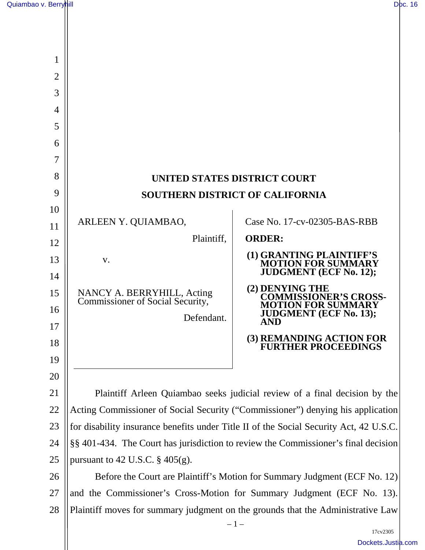| 1              |                                                                                        |                                                                                 |
|----------------|----------------------------------------------------------------------------------------|---------------------------------------------------------------------------------|
| $\overline{2}$ |                                                                                        |                                                                                 |
| 3              |                                                                                        |                                                                                 |
| 4              |                                                                                        |                                                                                 |
| 5              |                                                                                        |                                                                                 |
| 6              |                                                                                        |                                                                                 |
| 7              |                                                                                        |                                                                                 |
| 8              |                                                                                        | <b>UNITED STATES DISTRICT COURT</b>                                             |
| 9              | <b>SOUTHERN DISTRICT OF CALIFORNIA</b>                                                 |                                                                                 |
| 10             |                                                                                        |                                                                                 |
| 11             | ARLEEN Y. QUIAMBAO,                                                                    | Case No. 17-cv-02305-BAS-RBB                                                    |
| 12             | Plaintiff,                                                                             | <b>ORDER:</b>                                                                   |
| 13<br>14       | V.                                                                                     | (1) GRANTING PLAINTIFF'S<br>MOTION FOR SUMMARY<br><b>JUDGMENT</b> (ECF No. 12); |
| 15             | NANCY A. BERRYHILL, Acting<br>Commissioner of Social Security,                         | (2) DENYING THE<br><b>COMMISSIONER'S CROSS-</b><br><b>MOTION FOR SUMMARY</b>    |
| 16             | Defendant.                                                                             | <b>JUDGMENT</b> (ECF No. 13);<br><b>AND</b>                                     |
| 17<br>18       |                                                                                        | (3) REMANDING ACTION FOR<br>FURTHER PROCEEDINGS                                 |
| 19             |                                                                                        |                                                                                 |
| 20             |                                                                                        |                                                                                 |
| 21             | Plaintiff Arleen Quiambao seeks judicial review of a final decision by the             |                                                                                 |
| 22             | Acting Commissioner of Social Security ("Commissioner") denying his application        |                                                                                 |
| 23             | for disability insurance benefits under Title II of the Social Security Act, 42 U.S.C. |                                                                                 |
| 24             | §§ 401-434. The Court has jurisdiction to review the Commissioner's final decision     |                                                                                 |
| 25             | pursuant to 42 U.S.C. $\S$ 405(g).                                                     |                                                                                 |
| 26             | Before the Court are Plaintiff's Motion for Summary Judgment (ECF No. 12)              |                                                                                 |
| 27             | and the Commissioner's Cross-Motion for Summary Judgment (ECF No. 13).                 |                                                                                 |

28 Plaintiff moves for summary judgment on the grounds that the Administrative Law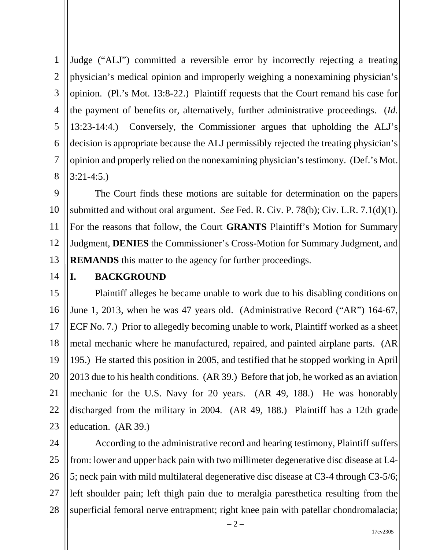1 2 3 4 5 6 7 8 Judge ("ALJ") committed a reversible error by incorrectly rejecting a treating physician's medical opinion and improperly weighing a nonexamining physician's opinion. (Pl.'s Mot. 13:8-22.) Plaintiff requests that the Court remand his case for the payment of benefits or, alternatively, further administrative proceedings. (*Id.* 13:23-14:4.) Conversely, the Commissioner argues that upholding the ALJ's decision is appropriate because the ALJ permissibly rejected the treating physician's opinion and properly relied on the nonexamining physician's testimony. (Def.'s Mot. 3:21-4:5.)

9 10 11 12 13 The Court finds these motions are suitable for determination on the papers submitted and without oral argument. *See* Fed. R. Civ. P. 78(b); Civ. L.R. 7.1(d)(1). For the reasons that follow, the Court **GRANTS** Plaintiff's Motion for Summary Judgment, **DENIES** the Commissioner's Cross-Motion for Summary Judgment, and **REMANDS** this matter to the agency for further proceedings.

14

#### **I. BACKGROUND**

15 16 17 18 19 20 21 22 23 Plaintiff alleges he became unable to work due to his disabling conditions on June 1, 2013, when he was 47 years old. (Administrative Record ("AR") 164-67, ECF No. 7.) Prior to allegedly becoming unable to work, Plaintiff worked as a sheet metal mechanic where he manufactured, repaired, and painted airplane parts. (AR 195.) He started this position in 2005, and testified that he stopped working in April 2013 due to his health conditions. (AR 39.) Before that job, he worked as an aviation mechanic for the U.S. Navy for 20 years. (AR 49, 188.) He was honorably discharged from the military in 2004. (AR 49, 188.) Plaintiff has a 12th grade education. (AR 39.)

24 25 26 27 28 According to the administrative record and hearing testimony, Plaintiff suffers from: lower and upper back pain with two millimeter degenerative disc disease at L4- 5; neck pain with mild multilateral degenerative disc disease at C3-4 through C3-5/6; left shoulder pain; left thigh pain due to meralgia paresthetica resulting from the superficial femoral nerve entrapment; right knee pain with patellar chondromalacia;

 $-2-$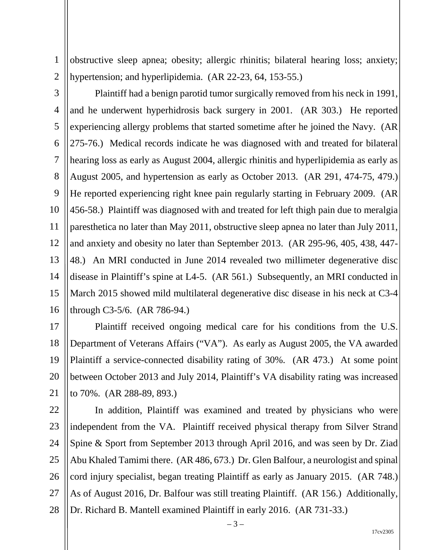obstructive sleep apnea; obesity; allergic rhinitis; bilateral hearing loss; anxiety; hypertension; and hyperlipidemia. (AR 22-23, 64, 153-55.)

2

1

3 4 5 6 7 8 9 10 11 12 13 14 15 16 Plaintiff had a benign parotid tumor surgically removed from his neck in 1991, and he underwent hyperhidrosis back surgery in 2001. (AR 303.) He reported experiencing allergy problems that started sometime after he joined the Navy. (AR 275-76.) Medical records indicate he was diagnosed with and treated for bilateral hearing loss as early as August 2004, allergic rhinitis and hyperlipidemia as early as August 2005, and hypertension as early as October 2013. (AR 291, 474-75, 479.) He reported experiencing right knee pain regularly starting in February 2009. (AR 456-58.) Plaintiff was diagnosed with and treated for left thigh pain due to meralgia paresthetica no later than May 2011, obstructive sleep apnea no later than July 2011, and anxiety and obesity no later than September 2013. (AR 295-96, 405, 438, 447- 48.) An MRI conducted in June 2014 revealed two millimeter degenerative disc disease in Plaintiff's spine at L4-5. (AR 561.) Subsequently, an MRI conducted in March 2015 showed mild multilateral degenerative disc disease in his neck at C3-4 through C3-5/6. (AR 786-94.)

17 18 19 20 21 Plaintiff received ongoing medical care for his conditions from the U.S. Department of Veterans Affairs ("VA"). As early as August 2005, the VA awarded Plaintiff a service-connected disability rating of 30%. (AR 473.) At some point between October 2013 and July 2014, Plaintiff's VA disability rating was increased to 70%. (AR 288-89, 893.)

22 23 24 25 26 27 28 In addition, Plaintiff was examined and treated by physicians who were independent from the VA. Plaintiff received physical therapy from Silver Strand Spine & Sport from September 2013 through April 2016, and was seen by Dr. Ziad Abu Khaled Tamimi there. (AR 486, 673.) Dr. Glen Balfour, a neurologist and spinal cord injury specialist, began treating Plaintiff as early as January 2015. (AR 748.) As of August 2016, Dr. Balfour was still treating Plaintiff. (AR 156.) Additionally, Dr. Richard B. Mantell examined Plaintiff in early 2016. (AR 731-33.)

17cv2305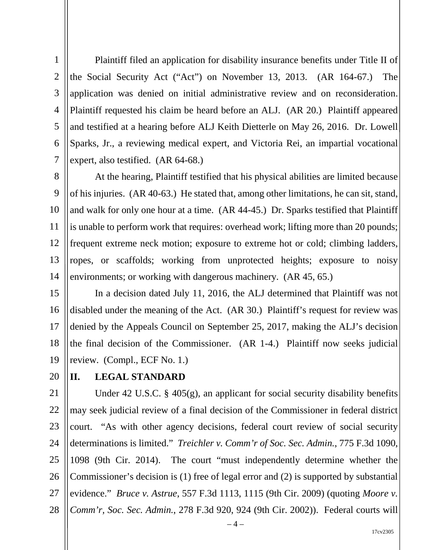1 2 3 4 5 6 7 Plaintiff filed an application for disability insurance benefits under Title II of the Social Security Act ("Act") on November 13, 2013. (AR 164-67.) The application was denied on initial administrative review and on reconsideration. Plaintiff requested his claim be heard before an ALJ. (AR 20.) Plaintiff appeared and testified at a hearing before ALJ Keith Dietterle on May 26, 2016. Dr. Lowell Sparks, Jr., a reviewing medical expert, and Victoria Rei, an impartial vocational expert, also testified. (AR 64-68.)

8 9 10 11 12 13 14 At the hearing, Plaintiff testified that his physical abilities are limited because of his injuries. (AR 40-63.) He stated that, among other limitations, he can sit, stand, and walk for only one hour at a time. (AR 44-45.) Dr. Sparks testified that Plaintiff is unable to perform work that requires: overhead work; lifting more than 20 pounds; frequent extreme neck motion; exposure to extreme hot or cold; climbing ladders, ropes, or scaffolds; working from unprotected heights; exposure to noisy environments; or working with dangerous machinery. (AR 45, 65.)

15 16 17 18 19 In a decision dated July 11, 2016, the ALJ determined that Plaintiff was not disabled under the meaning of the Act. (AR 30.) Plaintiff's request for review was denied by the Appeals Council on September 25, 2017, making the ALJ's decision the final decision of the Commissioner. (AR 1-4.) Plaintiff now seeks judicial review. (Compl., ECF No. 1.)

20

# **II. LEGAL STANDARD**

21 22 23 24 25 26 27 28 Under 42 U.S.C. § 405(g), an applicant for social security disability benefits may seek judicial review of a final decision of the Commissioner in federal district court. "As with other agency decisions, federal court review of social security determinations is limited." *Treichler v. Comm'r of Soc. Sec. Admin.*, 775 F.3d 1090, 1098 (9th Cir. 2014). The court "must independently determine whether the Commissioner's decision is (1) free of legal error and (2) is supported by substantial evidence." *Bruce v. Astrue*, 557 F.3d 1113, 1115 (9th Cir. 2009) (quoting *Moore v. Comm'r, Soc. Sec. Admin.*, 278 F.3d 920, 924 (9th Cir. 2002)). Federal courts will

 $-4-$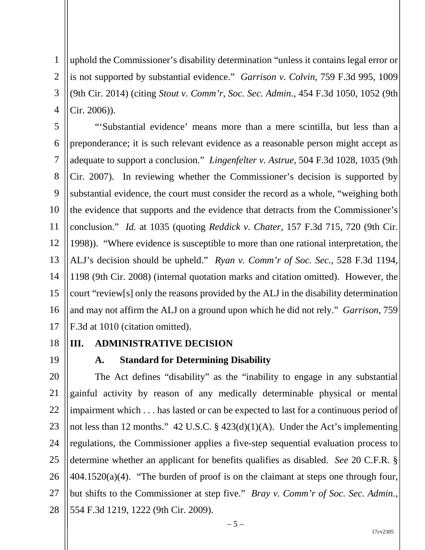1 2 3 4 uphold the Commissioner's disability determination "unless it contains legal error or is not supported by substantial evidence." *Garrison v. Colvin*, 759 F.3d 995, 1009 (9th Cir. 2014) (citing *Stout v. Comm'r, Soc. Sec. Admin.*, 454 F.3d 1050, 1052 (9th Cir. 2006)).

5 6 7 8 9 10 11 12 13 14 15 16 17 "'Substantial evidence' means more than a mere scintilla, but less than a preponderance; it is such relevant evidence as a reasonable person might accept as adequate to support a conclusion." *Lingenfelter v. Astrue*, 504 F.3d 1028, 1035 (9th Cir. 2007). In reviewing whether the Commissioner's decision is supported by substantial evidence, the court must consider the record as a whole, "weighing both the evidence that supports and the evidence that detracts from the Commissioner's conclusion." *Id.* at 1035 (quoting *Reddick v. Chater*, 157 F.3d 715, 720 (9th Cir. 1998)). "Where evidence is susceptible to more than one rational interpretation, the ALJ's decision should be upheld." *Ryan v. Comm'r of Soc. Sec.*, 528 F.3d 1194, 1198 (9th Cir. 2008) (internal quotation marks and citation omitted). However, the court "review[s] only the reasons provided by the ALJ in the disability determination and may not affirm the ALJ on a ground upon which he did not rely." *Garrison*, 759 F.3d at 1010 (citation omitted).

18 19

# **III. ADMINISTRATIVE DECISION**

### **A. Standard for Determining Disability**

20 21 22 23 24 25 26 27 28 The Act defines "disability" as the "inability to engage in any substantial gainful activity by reason of any medically determinable physical or mental impairment which . . . has lasted or can be expected to last for a continuous period of not less than 12 months." 42 U.S.C. § 423(d)(1)(A). Under the Act's implementing regulations, the Commissioner applies a five-step sequential evaluation process to determine whether an applicant for benefits qualifies as disabled. *See* 20 C.F.R. §  $404.1520(a)(4)$ . "The burden of proof is on the claimant at steps one through four, but shifts to the Commissioner at step five." *Bray v. Comm'r of Soc. Sec. Admin.*, 554 F.3d 1219, 1222 (9th Cir. 2009).

 $-5-$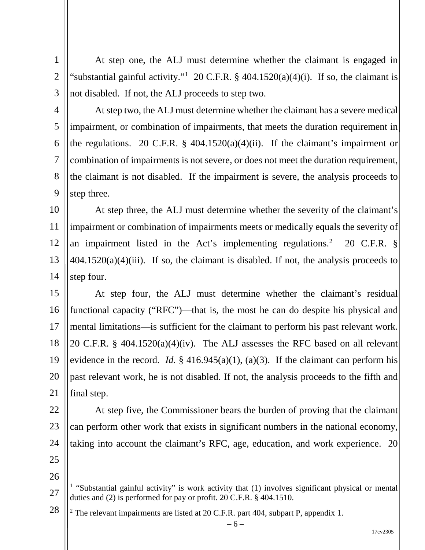- 1 2
- 3
- 4

5

6

7

8

9

At step two, the ALJ must determine whether the claimant has a severe medical impairment, or combination of impairments, that meets the duration requirement in the regulations. 20 C.F.R. § 404.1520(a)(4)(ii). If the claimant's impairment or combination of impairments is not severe, or does not meet the duration requirement, the claimant is not disabled. If the impairment is severe, the analysis proceeds to step three.

At step one, the ALJ must determine whether the claimant is engaged in

"substantial gainful activity."<sup>1</sup> 20 C.F.R. § 404.1520(a)(4)(i). If so, the claimant is

not disabled. If not, the ALJ proceeds to step two.

10 11 12 13 14 At step three, the ALJ must determine whether the severity of the claimant's impairment or combination of impairments meets or medically equals the severity of an impairment listed in the Act's implementing regulations.<sup>2</sup> 20 C.F.R. §  $404.1520(a)(4)(iii)$ . If so, the claimant is disabled. If not, the analysis proceeds to step four.

15 16 17 18 19 20 21 At step four, the ALJ must determine whether the claimant's residual functional capacity ("RFC")—that is, the most he can do despite his physical and mental limitations—is sufficient for the claimant to perform his past relevant work. 20 C.F.R. § 404.1520(a)(4)(iv). The ALJ assesses the RFC based on all relevant evidence in the record. *Id.* § 416.945(a)(1), (a)(3). If the claimant can perform his past relevant work, he is not disabled. If not, the analysis proceeds to the fifth and final step.

22 23 24 At step five, the Commissioner bears the burden of proving that the claimant can perform other work that exists in significant numbers in the national economy, taking into account the claimant's RFC, age, education, and work experience. 20

25 26

 $\overline{a}$ 

17cv2305

<sup>27</sup> <sup>1</sup> "Substantial gainful activity" is work activity that (1) involves significant physical or mental duties and (2) is performed for pay or profit. 20 C.F.R. § 404.1510.

<sup>28</sup>  $2$  The relevant impairments are listed at 20 C.F.R. part 404, subpart P, appendix 1.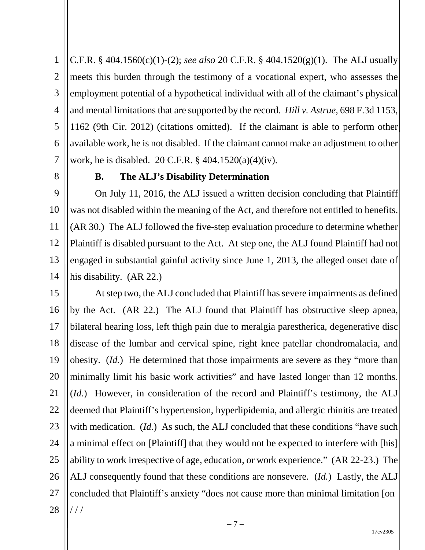1 2 3 4 5 6 7 C.F.R. § 404.1560(c)(1)-(2); *see also* 20 C.F.R. § 404.1520(g)(1). The ALJ usually meets this burden through the testimony of a vocational expert, who assesses the employment potential of a hypothetical individual with all of the claimant's physical and mental limitations that are supported by the record. *Hill v. Astrue*, 698 F.3d 1153, 1162 (9th Cir. 2012) (citations omitted). If the claimant is able to perform other available work, he is not disabled. If the claimant cannot make an adjustment to other work, he is disabled. 20 C.F.R. § 404.1520(a)(4)(iv).

8

### **B. The ALJ's Disability Determination**

9 10 11 12 13 14 On July 11, 2016, the ALJ issued a written decision concluding that Plaintiff was not disabled within the meaning of the Act, and therefore not entitled to benefits. (AR 30.) The ALJ followed the five-step evaluation procedure to determine whether Plaintiff is disabled pursuant to the Act. At step one, the ALJ found Plaintiff had not engaged in substantial gainful activity since June 1, 2013, the alleged onset date of his disability. (AR 22.)

15 16 17 18 19 20 21 22 23 24 25 26 27 28 At step two, the ALJ concluded that Plaintiff has severe impairments as defined by the Act. (AR 22.) The ALJ found that Plaintiff has obstructive sleep apnea, bilateral hearing loss, left thigh pain due to meralgia parestherica, degenerative disc disease of the lumbar and cervical spine, right knee patellar chondromalacia, and obesity. (*Id.*) He determined that those impairments are severe as they "more than minimally limit his basic work activities" and have lasted longer than 12 months. (*Id.*) However, in consideration of the record and Plaintiff's testimony, the ALJ deemed that Plaintiff's hypertension, hyperlipidemia, and allergic rhinitis are treated with medication. *(Id.)* As such, the ALJ concluded that these conditions "have such a minimal effect on [Plaintiff] that they would not be expected to interfere with [his] ability to work irrespective of age, education, or work experience." (AR 22-23.) The ALJ consequently found that these conditions are nonsevere. (*Id.*) Lastly, the ALJ concluded that Plaintiff's anxiety "does not cause more than minimal limitation [on / / /

17cv2305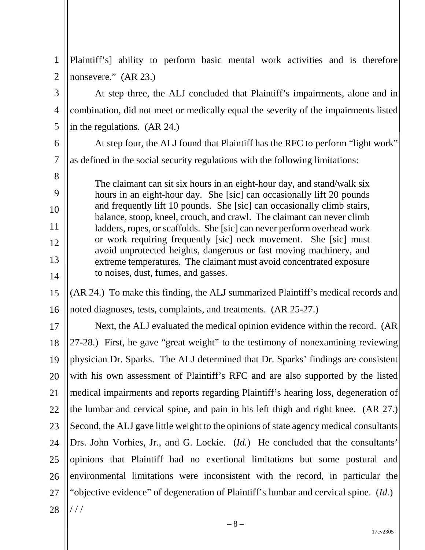| $\mathbf{1}$   | Plaintiff's] ability to perform basic mental work activities and is therefore                                                                     |
|----------------|---------------------------------------------------------------------------------------------------------------------------------------------------|
| $\overline{2}$ | nonsevere." (AR 23.)                                                                                                                              |
| 3              | At step three, the ALJ concluded that Plaintiff's impairments, alone and in                                                                       |
| $\overline{4}$ | combination, did not meet or medically equal the severity of the impairments listed                                                               |
| 5              | in the regulations. (AR 24.)                                                                                                                      |
| 6              | At step four, the ALJ found that Plaintiff has the RFC to perform "light work"                                                                    |
| $\tau$         | as defined in the social security regulations with the following limitations:                                                                     |
| 8              | The claimant can sit six hours in an eight-hour day, and stand/walk six                                                                           |
| 9              | hours in an eight-hour day. She [sic] can occasionally lift 20 pounds                                                                             |
| 10             | and frequently lift 10 pounds. She [sic] can occasionally climb stairs,<br>balance, stoop, kneel, crouch, and crawl. The claimant can never climb |
| 11             | ladders, ropes, or scaffolds. She [sic] can never perform overhead work                                                                           |
| 12             | or work requiring frequently [sic] neck movement. She [sic] must<br>avoid unprotected heights, dangerous or fast moving machinery, and            |
| 13             | extreme temperatures. The claimant must avoid concentrated exposure                                                                               |
| 14             | to noises, dust, fumes, and gasses.                                                                                                               |
| 15             | (AR 24.) To make this finding, the ALJ summarized Plaintiff's medical records and                                                                 |
| 16             | noted diagnoses, tests, complaints, and treatments. (AR 25-27.)                                                                                   |
| 17             | Next, the ALJ evaluated the medical opinion evidence within the record. (AR                                                                       |
| 18             | 27-28.) First, he gave "great weight" to the testimony of nonexamining reviewing                                                                  |
| 19             | physician Dr. Sparks. The ALJ determined that Dr. Sparks' findings are consistent                                                                 |
| 20             | with his own assessment of Plaintiff's RFC and are also supported by the listed                                                                   |
| 21             | medical impairments and reports regarding Plaintiff's hearing loss, degeneration of                                                               |
| 22             | the lumbar and cervical spine, and pain in his left thigh and right knee. (AR 27.)                                                                |
| 23             | Second, the ALJ gave little weight to the opinions of state agency medical consultants                                                            |
| 24             | Drs. John Vorhies, Jr., and G. Lockie. ( <i>Id.</i> ) He concluded that the consultants'                                                          |
| 25             | opinions that Plaintiff had no exertional limitations but some postural and                                                                       |
| 26             | environmental limitations were inconsistent with the record, in particular the                                                                    |
| 27             | "objective evidence" of degeneration of Plaintiff's lumbar and cervical spine. (Id.)                                                              |
| 28             | //                                                                                                                                                |
|                |                                                                                                                                                   |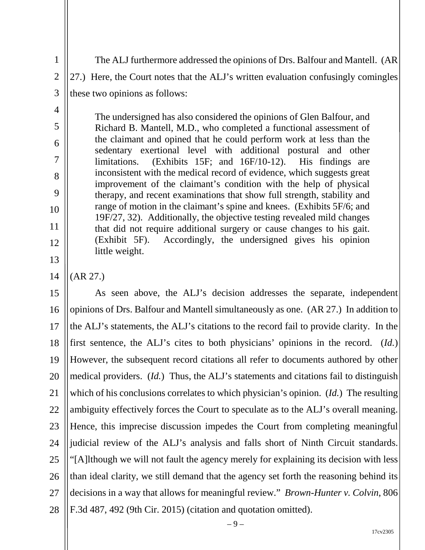The ALJ furthermore addressed the opinions of Drs. Balfour and Mantell. (AR 27.) Here, the Court notes that the ALJ's written evaluation confusingly comingles these two opinions as follows:

The undersigned has also considered the opinions of Glen Balfour, and Richard B. Mantell, M.D., who completed a functional assessment of the claimant and opined that he could perform work at less than the sedentary exertional level with additional postural and other limitations. (Exhibits 15F; and 16F/10-12). His findings are inconsistent with the medical record of evidence, which suggests great improvement of the claimant's condition with the help of physical therapy, and recent examinations that show full strength, stability and range of motion in the claimant's spine and knees. (Exhibits 5F/6; and 19F/27, 32). Additionally, the objective testing revealed mild changes that did not require additional surgery or cause changes to his gait. (Exhibit 5F). Accordingly, the undersigned gives his opinion little weight.

14 (AR 27.)

1

2

3

4

5

6

7

8

9

10

11

12

13

15 16 17 18 19 20 21 22 23 24 25 26 27 28 As seen above, the ALJ's decision addresses the separate, independent opinions of Drs. Balfour and Mantell simultaneously as one. (AR 27.) In addition to the ALJ's statements, the ALJ's citations to the record fail to provide clarity. In the first sentence, the ALJ's cites to both physicians' opinions in the record. (*Id.*) However, the subsequent record citations all refer to documents authored by other medical providers. (*Id.*) Thus, the ALJ's statements and citations fail to distinguish which of his conclusions correlates to which physician's opinion. (*Id.*) The resulting ambiguity effectively forces the Court to speculate as to the ALJ's overall meaning. Hence, this imprecise discussion impedes the Court from completing meaningful judicial review of the ALJ's analysis and falls short of Ninth Circuit standards. "[A]lthough we will not fault the agency merely for explaining its decision with less than ideal clarity, we still demand that the agency set forth the reasoning behind its decisions in a way that allows for meaningful review." *Brown-Hunter v. Colvin*, 806 F.3d 487, 492 (9th Cir. 2015) (citation and quotation omitted).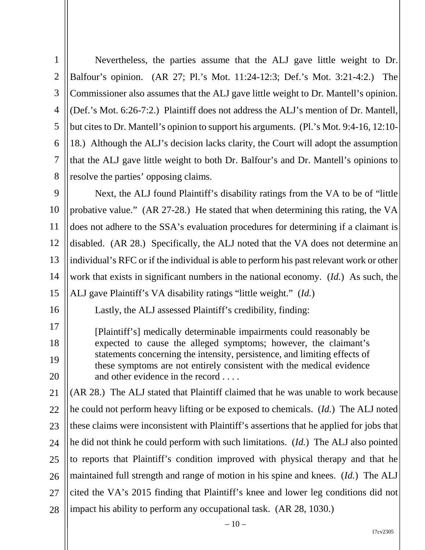| $\mathbf{1}$   | Nevertheless, the parties assume that the ALJ gave little weight to Dr.                                                                           |
|----------------|---------------------------------------------------------------------------------------------------------------------------------------------------|
| $\overline{2}$ | Balfour's opinion. (AR 27; Pl.'s Mot. 11:24-12:3; Def.'s Mot. 3:21-4:2.) The                                                                      |
| 3              | Commissioner also assumes that the ALJ gave little weight to Dr. Mantell's opinion.                                                               |
| $\overline{4}$ | (Def.'s Mot. 6:26-7:2.) Plaintiff does not address the ALJ's mention of Dr. Mantell,                                                              |
| 5              | but cites to Dr. Mantell's opinion to support his arguments. (Pl.'s Mot. 9:4-16, 12:10-                                                           |
| 6              | 18.) Although the ALJ's decision lacks clarity, the Court will adopt the assumption                                                               |
| 7              | that the ALJ gave little weight to both Dr. Balfour's and Dr. Mantell's opinions to                                                               |
| 8              | resolve the parties' opposing claims.                                                                                                             |
| 9              | Next, the ALJ found Plaintiff's disability ratings from the VA to be of "little"                                                                  |
| 10             | probative value." (AR 27-28.) He stated that when determining this rating, the VA                                                                 |
| 11             | does not adhere to the SSA's evaluation procedures for determining if a claimant is                                                               |
| 12             | disabled. (AR 28.) Specifically, the ALJ noted that the VA does not determine an                                                                  |
| 13             | individual's RFC or if the individual is able to perform his past relevant work or other                                                          |
| 14             | work that exists in significant numbers in the national economy. $(Id.)$ As such, the                                                             |
| 15             | ALJ gave Plaintiff's VA disability ratings "little weight." (Id.)                                                                                 |
| 16             | Lastly, the ALJ assessed Plaintiff's credibility, finding:                                                                                        |
| 17             | [Plaintiff's] medically determinable impairments could reasonably be                                                                              |
| 18             | expected to cause the alleged symptoms; however, the claimant's                                                                                   |
| 19             | statements concerning the intensity, persistence, and limiting effects of<br>these symptoms are not entirely consistent with the medical evidence |
| 20             | and other evidence in the record                                                                                                                  |
| 21             | (AR 28.) The ALJ stated that Plaintiff claimed that he was unable to work because                                                                 |
| 22             | he could not perform heavy lifting or be exposed to chemicals. ( <i>Id.</i> ) The ALJ noted                                                       |
| 23             | these claims were inconsistent with Plaintiff's assertions that he applied for jobs that                                                          |
| 24             | he did not think he could perform with such limitations. ( <i>Id.</i> ) The ALJ also pointed                                                      |
| 25             | to reports that Plaintiff's condition improved with physical therapy and that he                                                                  |
| 26             | maintained full strength and range of motion in his spine and knees. (Id.) The ALJ                                                                |
| 27             | cited the VA's 2015 finding that Plaintiff's knee and lower leg conditions did not                                                                |
| 28             | impact his ability to perform any occupational task. (AR 28, 1030.)                                                                               |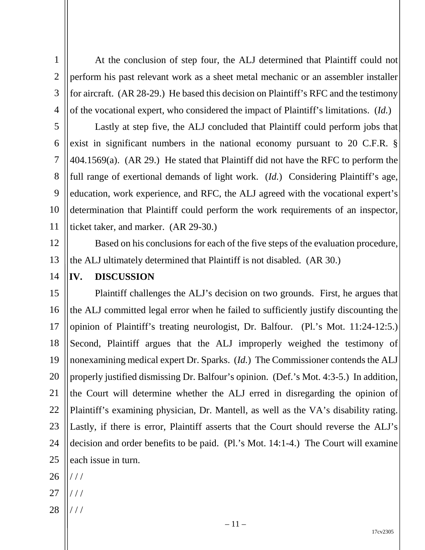1 2 3 4 At the conclusion of step four, the ALJ determined that Plaintiff could not perform his past relevant work as a sheet metal mechanic or an assembler installer for aircraft. (AR 28-29.) He based this decision on Plaintiff's RFC and the testimony of the vocational expert, who considered the impact of Plaintiff's limitations. (*Id.*)

5 6 7 8 9 10 11 Lastly at step five, the ALJ concluded that Plaintiff could perform jobs that exist in significant numbers in the national economy pursuant to 20 C.F.R. § 404.1569(a). (AR 29.) He stated that Plaintiff did not have the RFC to perform the full range of exertional demands of light work. (*Id.*) Considering Plaintiff's age, education, work experience, and RFC, the ALJ agreed with the vocational expert's determination that Plaintiff could perform the work requirements of an inspector, ticket taker, and marker. (AR 29-30.)

Based on his conclusions for each of the five steps of the evaluation procedure,

12

13 the ALJ ultimately determined that Plaintiff is not disabled. (AR 30.)

14

## **IV. DISCUSSION**

15 16 17 18 19 20 21 22 23 24 25 Plaintiff challenges the ALJ's decision on two grounds. First, he argues that the ALJ committed legal error when he failed to sufficiently justify discounting the opinion of Plaintiff's treating neurologist, Dr. Balfour. (Pl.'s Mot. 11:24-12:5.) Second, Plaintiff argues that the ALJ improperly weighed the testimony of nonexamining medical expert Dr. Sparks. (*Id.*) The Commissioner contends the ALJ properly justified dismissing Dr. Balfour's opinion. (Def.'s Mot. 4:3-5.) In addition, the Court will determine whether the ALJ erred in disregarding the opinion of Plaintiff's examining physician, Dr. Mantell, as well as the VA's disability rating. Lastly, if there is error, Plaintiff asserts that the Court should reverse the ALJ's decision and order benefits to be paid. (Pl.'s Mot. 14:1-4.) The Court will examine each issue in turn.

- 26 / / /
- 27 / / /
- 28 / / /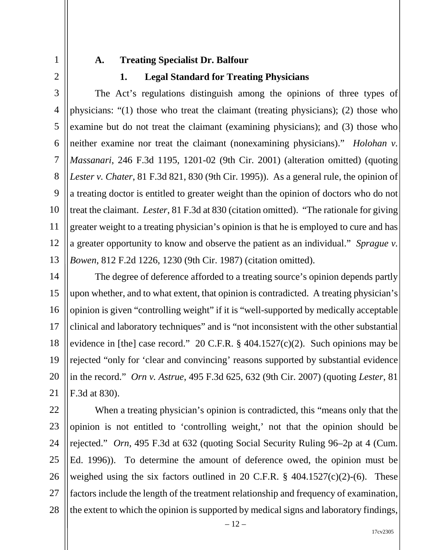1 2

#### **A. Treating Specialist Dr. Balfour**

#### **1. Legal Standard for Treating Physicians**

3 4 5 6 7 8 9 10 11 12 13 The Act's regulations distinguish among the opinions of three types of physicians: "(1) those who treat the claimant (treating physicians); (2) those who examine but do not treat the claimant (examining physicians); and (3) those who neither examine nor treat the claimant (nonexamining physicians)." *Holohan v. Massanari*, 246 F.3d 1195, 1201-02 (9th Cir. 2001) (alteration omitted) (quoting *Lester v. Chater*, 81 F.3d 821, 830 (9th Cir. 1995)). As a general rule, the opinion of a treating doctor is entitled to greater weight than the opinion of doctors who do not treat the claimant. *Lester*, 81 F.3d at 830 (citation omitted). "The rationale for giving greater weight to a treating physician's opinion is that he is employed to cure and has a greater opportunity to know and observe the patient as an individual." *Sprague v. Bowen*, 812 F.2d 1226, 1230 (9th Cir. 1987) (citation omitted).

14 15 16 17 18 19 20 21 The degree of deference afforded to a treating source's opinion depends partly upon whether, and to what extent, that opinion is contradicted. A treating physician's opinion is given "controlling weight" if it is "well-supported by medically acceptable clinical and laboratory techniques" and is "not inconsistent with the other substantial evidence in [the] case record." 20 C.F.R.  $\S$  404.1527(c)(2). Such opinions may be rejected "only for 'clear and convincing' reasons supported by substantial evidence in the record." *Orn v. Astrue*, 495 F.3d 625, 632 (9th Cir. 2007) (quoting *Lester*, 81 F.3d at 830).

22 23 24 25 26 27 28 When a treating physician's opinion is contradicted, this "means only that the opinion is not entitled to 'controlling weight,' not that the opinion should be rejected." *Orn*, 495 F.3d at 632 (quoting Social Security Ruling 96–2p at 4 (Cum. Ed. 1996)). To determine the amount of deference owed, the opinion must be weighed using the six factors outlined in 20 C.F.R.  $\S$  404.1527(c)(2)-(6). These factors include the length of the treatment relationship and frequency of examination, the extent to which the opinion is supported by medical signs and laboratory findings,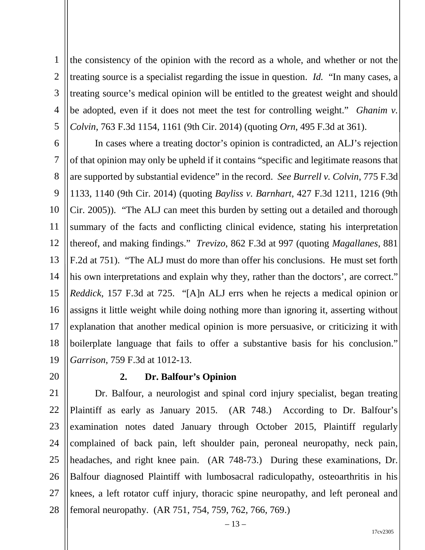1 2 3 4 5 the consistency of the opinion with the record as a whole, and whether or not the treating source is a specialist regarding the issue in question. *Id.* "In many cases, a treating source's medical opinion will be entitled to the greatest weight and should be adopted, even if it does not meet the test for controlling weight." *Ghanim v. Colvin*, 763 F.3d 1154, 1161 (9th Cir. 2014) (quoting *Orn*, 495 F.3d at 361).

6 7 8 9 10 11 12 13 14 15 16 17 18 19 In cases where a treating doctor's opinion is contradicted, an ALJ's rejection of that opinion may only be upheld if it contains "specific and legitimate reasons that are supported by substantial evidence" in the record. *See Burrell v. Colvin*, 775 F.3d 1133, 1140 (9th Cir. 2014) (quoting *Bayliss v. Barnhart*, 427 F.3d 1211, 1216 (9th Cir. 2005)). "The ALJ can meet this burden by setting out a detailed and thorough summary of the facts and conflicting clinical evidence, stating his interpretation thereof, and making findings." *Trevizo*, 862 F.3d at 997 (quoting *Magallanes*, 881 F.2d at 751). "The ALJ must do more than offer his conclusions. He must set forth his own interpretations and explain why they, rather than the doctors', are correct." *Reddick*, 157 F.3d at 725. "[A]n ALJ errs when he rejects a medical opinion or assigns it little weight while doing nothing more than ignoring it, asserting without explanation that another medical opinion is more persuasive, or criticizing it with boilerplate language that fails to offer a substantive basis for his conclusion." *Garrison*, 759 F.3d at 1012-13.

20

#### **2. Dr. Balfour's Opinion**

21 22 23 24 25 26 27 28 Dr. Balfour, a neurologist and spinal cord injury specialist, began treating Plaintiff as early as January 2015. (AR 748.) According to Dr. Balfour's examination notes dated January through October 2015, Plaintiff regularly complained of back pain, left shoulder pain, peroneal neuropathy, neck pain, headaches, and right knee pain. (AR 748-73.) During these examinations, Dr. Balfour diagnosed Plaintiff with lumbosacral radiculopathy, osteoarthritis in his knees, a left rotator cuff injury, thoracic spine neuropathy, and left peroneal and femoral neuropathy. (AR 751, 754, 759, 762, 766, 769.)

 $-13-$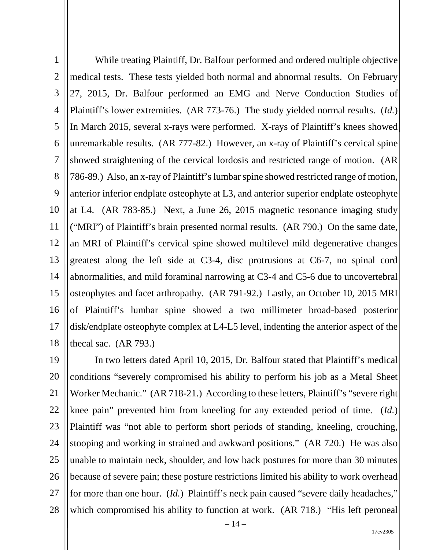1 2 3 4 5 6 7 8 9 10 11 12 13 14 15 16 17 18 While treating Plaintiff, Dr. Balfour performed and ordered multiple objective medical tests. These tests yielded both normal and abnormal results. On February 27, 2015, Dr. Balfour performed an EMG and Nerve Conduction Studies of Plaintiff's lower extremities. (AR 773-76.) The study yielded normal results. (*Id.*) In March 2015, several x-rays were performed. X-rays of Plaintiff's knees showed unremarkable results. (AR 777-82.) However, an x-ray of Plaintiff's cervical spine showed straightening of the cervical lordosis and restricted range of motion. (AR 786-89.) Also, an x-ray of Plaintiff's lumbar spine showed restricted range of motion, anterior inferior endplate osteophyte at L3, and anterior superior endplate osteophyte at L4. (AR 783-85.) Next, a June 26, 2015 magnetic resonance imaging study ("MRI") of Plaintiff's brain presented normal results. (AR 790.) On the same date, an MRI of Plaintiff's cervical spine showed multilevel mild degenerative changes greatest along the left side at C3-4, disc protrusions at C6-7, no spinal cord abnormalities, and mild foraminal narrowing at C3-4 and C5-6 due to uncovertebral osteophytes and facet arthropathy. (AR 791-92.) Lastly, an October 10, 2015 MRI of Plaintiff's lumbar spine showed a two millimeter broad-based posterior disk/endplate osteophyte complex at L4-L5 level, indenting the anterior aspect of the thecal sac. (AR 793.)

19 20 21 22 23 24 25 26 27 28 In two letters dated April 10, 2015, Dr. Balfour stated that Plaintiff's medical conditions "severely compromised his ability to perform his job as a Metal Sheet Worker Mechanic." (AR 718-21.) According to these letters, Plaintiff's "severe right knee pain" prevented him from kneeling for any extended period of time. (*Id.*) Plaintiff was "not able to perform short periods of standing, kneeling, crouching, stooping and working in strained and awkward positions." (AR 720.) He was also unable to maintain neck, shoulder, and low back postures for more than 30 minutes because of severe pain; these posture restrictions limited his ability to work overhead for more than one hour. (*Id.*) Plaintiff's neck pain caused "severe daily headaches," which compromised his ability to function at work. (AR 718.) "His left peroneal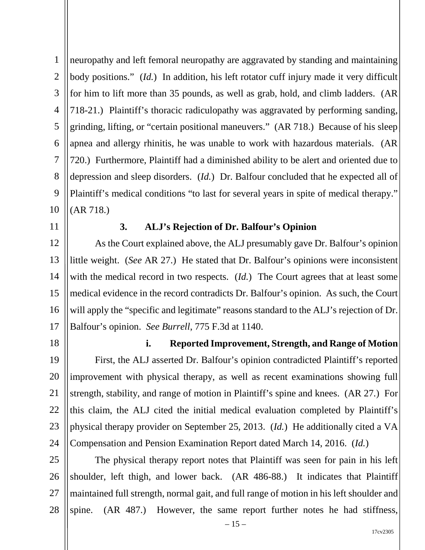1 2 3 4 5 6 7 8 9 10 neuropathy and left femoral neuropathy are aggravated by standing and maintaining body positions." (*Id.*) In addition, his left rotator cuff injury made it very difficult for him to lift more than 35 pounds, as well as grab, hold, and climb ladders. (AR 718-21.) Plaintiff's thoracic radiculopathy was aggravated by performing sanding, grinding, lifting, or "certain positional maneuvers." (AR 718.) Because of his sleep apnea and allergy rhinitis, he was unable to work with hazardous materials. (AR 720.) Furthermore, Plaintiff had a diminished ability to be alert and oriented due to depression and sleep disorders. (*Id.*) Dr. Balfour concluded that he expected all of Plaintiff's medical conditions "to last for several years in spite of medical therapy." (AR 718.)

11

## **3. ALJ's Rejection of Dr. Balfour's Opinion**

12 13 14 15 16 17 As the Court explained above, the ALJ presumably gave Dr. Balfour's opinion little weight. (*See* AR 27.) He stated that Dr. Balfour's opinions were inconsistent with the medical record in two respects. (*Id.*) The Court agrees that at least some medical evidence in the record contradicts Dr. Balfour's opinion. As such, the Court will apply the "specific and legitimate" reasons standard to the ALJ's rejection of Dr. Balfour's opinion. *See Burrell*, 775 F.3d at 1140.

18

#### **i. Reported Improvement, Strength, and Range of Motion**

19 20 21 22 23 24 First, the ALJ asserted Dr. Balfour's opinion contradicted Plaintiff's reported improvement with physical therapy, as well as recent examinations showing full strength, stability, and range of motion in Plaintiff's spine and knees. (AR 27*.*) For this claim, the ALJ cited the initial medical evaluation completed by Plaintiff's physical therapy provider on September 25, 2013. (*Id.*) He additionally cited a VA Compensation and Pension Examination Report dated March 14, 2016. (*Id.*)

25 26 27 28 The physical therapy report notes that Plaintiff was seen for pain in his left shoulder, left thigh, and lower back. (AR 486-88.) It indicates that Plaintiff maintained full strength, normal gait, and full range of motion in his left shoulder and spine. (AR 487.) However, the same report further notes he had stiffness,

 $-15-$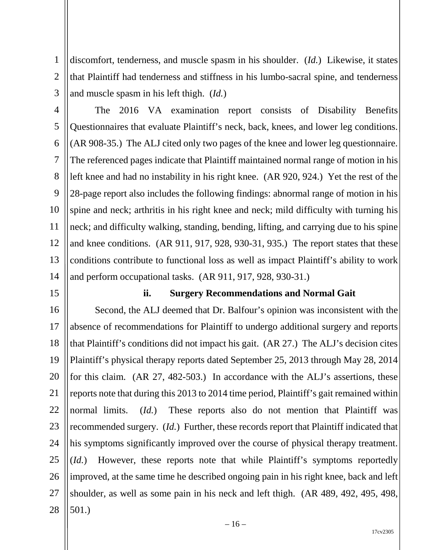1 2 3 discomfort, tenderness, and muscle spasm in his shoulder. (*Id.*) Likewise, it states that Plaintiff had tenderness and stiffness in his lumbo-sacral spine, and tenderness and muscle spasm in his left thigh. (*Id.*)

4 5 6 7 8 9 10 11 12 13 14 The 2016 VA examination report consists of Disability Benefits Questionnaires that evaluate Plaintiff's neck, back, knees, and lower leg conditions. (AR 908-35.) The ALJ cited only two pages of the knee and lower leg questionnaire. The referenced pages indicate that Plaintiff maintained normal range of motion in his left knee and had no instability in his right knee. (AR 920, 924.) Yet the rest of the 28-page report also includes the following findings: abnormal range of motion in his spine and neck; arthritis in his right knee and neck; mild difficulty with turning his neck; and difficulty walking, standing, bending, lifting, and carrying due to his spine and knee conditions. (AR 911, 917, 928, 930-31, 935.) The report states that these conditions contribute to functional loss as well as impact Plaintiff's ability to work and perform occupational tasks. (AR 911, 917, 928, 930-31.)

15

#### **ii. Surgery Recommendations and Normal Gait**

16 17 18 19 20 21 22 23 24 25 26 27 28 Second, the ALJ deemed that Dr. Balfour's opinion was inconsistent with the absence of recommendations for Plaintiff to undergo additional surgery and reports that Plaintiff's conditions did not impact his gait. (AR 27.) The ALJ's decision cites Plaintiff's physical therapy reports dated September 25, 2013 through May 28, 2014 for this claim. (AR 27, 482-503.) In accordance with the ALJ's assertions, these reports note that during this 2013 to 2014 time period, Plaintiff's gait remained within normal limits. (*Id.*) These reports also do not mention that Plaintiff was recommended surgery. (*Id.*) Further, these records report that Plaintiff indicated that his symptoms significantly improved over the course of physical therapy treatment. (*Id.*) However, these reports note that while Plaintiff's symptoms reportedly improved, at the same time he described ongoing pain in his right knee, back and left shoulder, as well as some pain in his neck and left thigh. (AR 489, 492, 495, 498, 501.)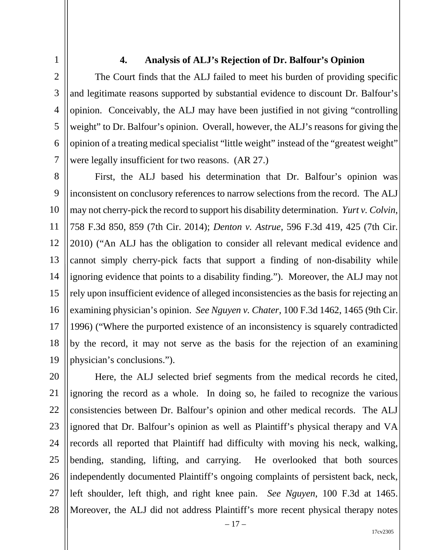1 2

3

5

7

## **4. Analysis of ALJ's Rejection of Dr. Balfour's Opinion**

4 6 The Court finds that the ALJ failed to meet his burden of providing specific and legitimate reasons supported by substantial evidence to discount Dr. Balfour's opinion. Conceivably, the ALJ may have been justified in not giving "controlling weight" to Dr. Balfour's opinion. Overall, however, the ALJ's reasons for giving the opinion of a treating medical specialist "little weight" instead of the "greatest weight" were legally insufficient for two reasons. (AR 27.)

8 9 10 11 12 13 14 15 16 17 18 19 First, the ALJ based his determination that Dr. Balfour's opinion was inconsistent on conclusory references to narrow selections from the record. The ALJ may not cherry-pick the record to support his disability determination. *Yurt v. Colvin*, 758 F.3d 850, 859 (7th Cir. 2014); *Denton v. Astrue*, 596 F.3d 419, 425 (7th Cir. 2010) ("An ALJ has the obligation to consider all relevant medical evidence and cannot simply cherry-pick facts that support a finding of non-disability while ignoring evidence that points to a disability finding."). Moreover, the ALJ may not rely upon insufficient evidence of alleged inconsistencies as the basis for rejecting an examining physician's opinion. *See Nguyen v. Chater*, 100 F.3d 1462, 1465 (9th Cir. 1996) ("Where the purported existence of an inconsistency is squarely contradicted by the record, it may not serve as the basis for the rejection of an examining physician's conclusions.").

20 21 22 23 24 25 26 27 28 Here, the ALJ selected brief segments from the medical records he cited, ignoring the record as a whole. In doing so, he failed to recognize the various consistencies between Dr. Balfour's opinion and other medical records. The ALJ ignored that Dr. Balfour's opinion as well as Plaintiff's physical therapy and VA records all reported that Plaintiff had difficulty with moving his neck, walking, bending, standing, lifting, and carrying. He overlooked that both sources independently documented Plaintiff's ongoing complaints of persistent back, neck, left shoulder, left thigh, and right knee pain. *See Nguyen*, 100 F.3d at 1465. Moreover, the ALJ did not address Plaintiff's more recent physical therapy notes

– 17 –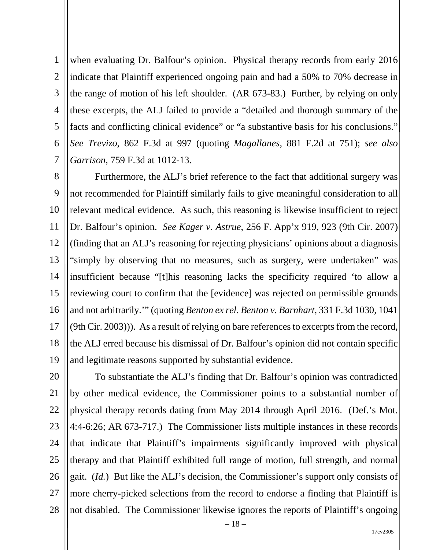1 2 3 4 5 6 7 when evaluating Dr. Balfour's opinion. Physical therapy records from early 2016 indicate that Plaintiff experienced ongoing pain and had a 50% to 70% decrease in the range of motion of his left shoulder. (AR 673-83.) Further, by relying on only these excerpts, the ALJ failed to provide a "detailed and thorough summary of the facts and conflicting clinical evidence" or "a substantive basis for his conclusions." *See Trevizo*, 862 F.3d at 997 (quoting *Magallanes*, 881 F.2d at 751); *see also Garrison*, 759 F.3d at 1012-13.

8 9 10 11 12 13 14 15 16 17 18 19 Furthermore, the ALJ's brief reference to the fact that additional surgery was not recommended for Plaintiff similarly fails to give meaningful consideration to all relevant medical evidence. As such, this reasoning is likewise insufficient to reject Dr. Balfour's opinion. *See Kager v. Astrue*, 256 F. App'x 919, 923 (9th Cir. 2007) (finding that an ALJ's reasoning for rejecting physicians' opinions about a diagnosis "simply by observing that no measures, such as surgery, were undertaken" was insufficient because "[t]his reasoning lacks the specificity required 'to allow a reviewing court to confirm that the [evidence] was rejected on permissible grounds and not arbitrarily.'" (quoting *Benton ex rel. Benton v. Barnhart*, 331 F.3d 1030, 1041  $(9th Cir. 2003))$ . As a result of relying on bare references to excerpts from the record, the ALJ erred because his dismissal of Dr. Balfour's opinion did not contain specific and legitimate reasons supported by substantial evidence.

20 21 22 23 24 25 26 27 28 To substantiate the ALJ's finding that Dr. Balfour's opinion was contradicted by other medical evidence, the Commissioner points to a substantial number of physical therapy records dating from May 2014 through April 2016. (Def.'s Mot. 4:4-6:26; AR 673-717.) The Commissioner lists multiple instances in these records that indicate that Plaintiff's impairments significantly improved with physical therapy and that Plaintiff exhibited full range of motion, full strength, and normal gait. (*Id.*) But like the ALJ's decision, the Commissioner's support only consists of more cherry-picked selections from the record to endorse a finding that Plaintiff is not disabled. The Commissioner likewise ignores the reports of Plaintiff's ongoing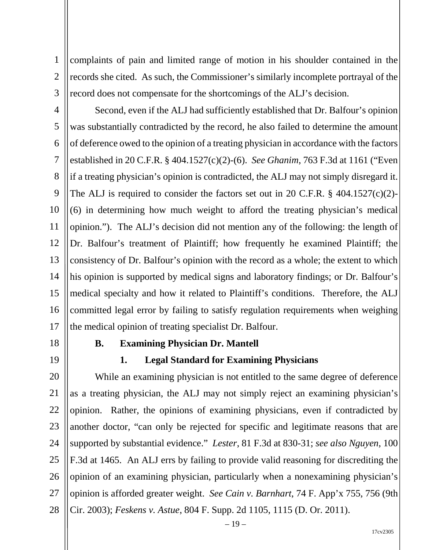1 2 3 complaints of pain and limited range of motion in his shoulder contained in the records she cited. As such, the Commissioner's similarly incomplete portrayal of the record does not compensate for the shortcomings of the ALJ's decision.

4 5 6 7 8 9 10 11 12 13 14 15 16 17 Second, even if the ALJ had sufficiently established that Dr. Balfour's opinion was substantially contradicted by the record, he also failed to determine the amount of deference owed to the opinion of a treating physician in accordance with the factors established in 20 C.F.R. § 404.1527(c)(2)-(6). *See Ghanim*, 763 F.3d at 1161 ("Even if a treating physician's opinion is contradicted, the ALJ may not simply disregard it. The ALJ is required to consider the factors set out in 20 C.F.R. § 404.1527(c)(2)- (6) in determining how much weight to afford the treating physician's medical opinion."). The ALJ's decision did not mention any of the following: the length of Dr. Balfour's treatment of Plaintiff; how frequently he examined Plaintiff; the consistency of Dr. Balfour's opinion with the record as a whole; the extent to which his opinion is supported by medical signs and laboratory findings; or Dr. Balfour's medical specialty and how it related to Plaintiff's conditions. Therefore, the ALJ committed legal error by failing to satisfy regulation requirements when weighing the medical opinion of treating specialist Dr. Balfour.

18 19

# **B. Examining Physician Dr. Mantell**

**1. Legal Standard for Examining Physicians**

20 21 22 23 24 25 26 27 28 While an examining physician is not entitled to the same degree of deference as a treating physician, the ALJ may not simply reject an examining physician's opinion. Rather, the opinions of examining physicians, even if contradicted by another doctor, "can only be rejected for specific and legitimate reasons that are supported by substantial evidence." *Lester*, 81 F.3d at 830-31; *see also Nguyen*, 100 F.3d at 1465. An ALJ errs by failing to provide valid reasoning for discrediting the opinion of an examining physician, particularly when a nonexamining physician's opinion is afforded greater weight. *See Cain v. Barnhart*, 74 F. App'x 755, 756 (9th Cir. 2003); *Feskens v. Astue*, 804 F. Supp. 2d 1105, 1115 (D. Or. 2011).

 $-19-$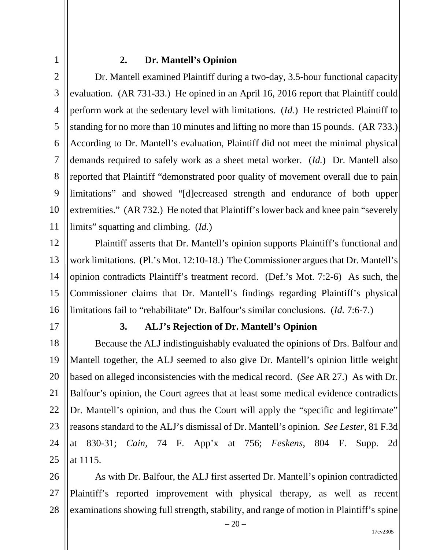## 1

#### **2. Dr. Mantell's Opinion**

2 3 4 5 6 7 8 9 10 11 Dr. Mantell examined Plaintiff during a two-day, 3.5-hour functional capacity evaluation. (AR 731-33.) He opined in an April 16, 2016 report that Plaintiff could perform work at the sedentary level with limitations. (*Id.*) He restricted Plaintiff to standing for no more than 10 minutes and lifting no more than 15 pounds. (AR 733.) According to Dr. Mantell's evaluation, Plaintiff did not meet the minimal physical demands required to safely work as a sheet metal worker. (*Id.*) Dr. Mantell also reported that Plaintiff "demonstrated poor quality of movement overall due to pain limitations" and showed "[d]ecreased strength and endurance of both upper extremities." (AR 732.) He noted that Plaintiff's lower back and knee pain "severely limits" squatting and climbing. (*Id.*)

12 13 14 15 16 Plaintiff asserts that Dr. Mantell's opinion supports Plaintiff's functional and work limitations. (Pl.'s Mot. 12:10-18.) The Commissioner argues that Dr. Mantell's opinion contradicts Plaintiff's treatment record. (Def.'s Mot. 7:2-6) As such, the Commissioner claims that Dr. Mantell's findings regarding Plaintiff's physical limitations fail to "rehabilitate" Dr. Balfour's similar conclusions. (*Id.* 7:6-7.)

17

#### **3. ALJ's Rejection of Dr. Mantell's Opinion**

18 19 20 21 22 23 24 25 Because the ALJ indistinguishably evaluated the opinions of Drs. Balfour and Mantell together, the ALJ seemed to also give Dr. Mantell's opinion little weight based on alleged inconsistencies with the medical record. (*See* AR 27.) As with Dr. Balfour's opinion, the Court agrees that at least some medical evidence contradicts Dr. Mantell's opinion, and thus the Court will apply the "specific and legitimate" reasons standard to the ALJ's dismissal of Dr. Mantell's opinion. *See Lester*, 81 F.3d at 830-31; *Cain*, 74 F. App'x at 756; *Feskens*, 804 F. Supp. 2d at 1115.

26 27 28 As with Dr. Balfour, the ALJ first asserted Dr. Mantell's opinion contradicted Plaintiff's reported improvement with physical therapy, as well as recent examinations showing full strength, stability, and range of motion in Plaintiff's spine

 $-20-$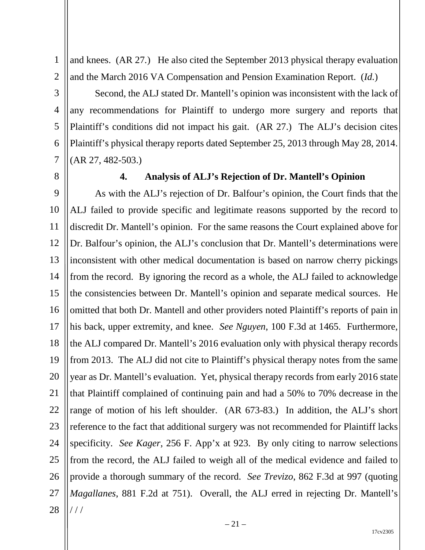1 2 and knees. (AR 27*.*) He also cited the September 2013 physical therapy evaluation and the March 2016 VA Compensation and Pension Examination Report. (*Id.*)

3 4 5 6 7 Second, the ALJ stated Dr. Mantell's opinion was inconsistent with the lack of any recommendations for Plaintiff to undergo more surgery and reports that Plaintiff's conditions did not impact his gait. (AR 27.) The ALJ's decision cites Plaintiff's physical therapy reports dated September 25, 2013 through May 28, 2014. (AR 27, 482-503.)

8

#### **4. Analysis of ALJ's Rejection of Dr. Mantell's Opinion**

9 10 11 12 13 14 15 16 17 18 19 20 21 22 23 24 25 26 27 28 As with the ALJ's rejection of Dr. Balfour's opinion, the Court finds that the ALJ failed to provide specific and legitimate reasons supported by the record to discredit Dr. Mantell's opinion. For the same reasons the Court explained above for Dr. Balfour's opinion, the ALJ's conclusion that Dr. Mantell's determinations were inconsistent with other medical documentation is based on narrow cherry pickings from the record. By ignoring the record as a whole, the ALJ failed to acknowledge the consistencies between Dr. Mantell's opinion and separate medical sources. He omitted that both Dr. Mantell and other providers noted Plaintiff's reports of pain in his back, upper extremity, and knee. *See Nguyen*, 100 F.3d at 1465. Furthermore, the ALJ compared Dr. Mantell's 2016 evaluation only with physical therapy records from 2013. The ALJ did not cite to Plaintiff's physical therapy notes from the same year as Dr. Mantell's evaluation. Yet, physical therapy records from early 2016 state that Plaintiff complained of continuing pain and had a 50% to 70% decrease in the range of motion of his left shoulder. (AR 673-83.) In addition, the ALJ's short reference to the fact that additional surgery was not recommended for Plaintiff lacks specificity. *See Kager*, 256 F. App'x at 923. By only citing to narrow selections from the record, the ALJ failed to weigh all of the medical evidence and failed to provide a thorough summary of the record. *See Trevizo*, 862 F.3d at 997 (quoting *Magallanes*, 881 F.2d at 751). Overall, the ALJ erred in rejecting Dr. Mantell's / / /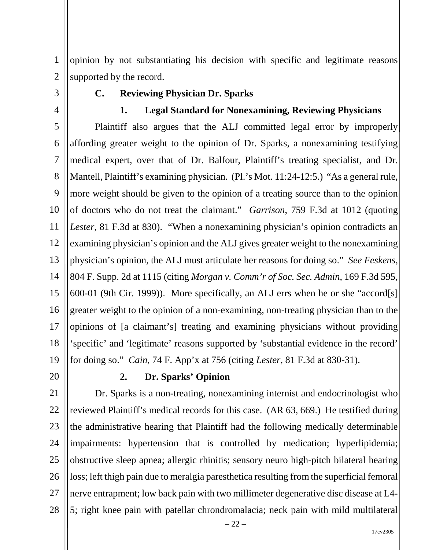1 2 opinion by not substantiating his decision with specific and legitimate reasons supported by the record.

3

4

## **C. Reviewing Physician Dr. Sparks**

#### **1. Legal Standard for Nonexamining, Reviewing Physicians**

5 6 7 8 9 10 11 12 13 14 15 16 17 18 19 Plaintiff also argues that the ALJ committed legal error by improperly affording greater weight to the opinion of Dr. Sparks, a nonexamining testifying medical expert, over that of Dr. Balfour, Plaintiff's treating specialist, and Dr. Mantell, Plaintiff's examining physician. (Pl.'s Mot. 11:24-12:5.) "As a general rule, more weight should be given to the opinion of a treating source than to the opinion of doctors who do not treat the claimant." *Garrison*, 759 F.3d at 1012 (quoting *Lester*, 81 F.3d at 830). "When a nonexamining physician's opinion contradicts an examining physician's opinion and the ALJ gives greater weight to the nonexamining physician's opinion, the ALJ must articulate her reasons for doing so." *See Feskens*, 804 F. Supp. 2d at 1115 (citing *Morgan v. Comm'r of Soc. Sec. Admin*, 169 F.3d 595, 600-01 (9th Cir. 1999)). More specifically, an ALJ errs when he or she "accord[s] greater weight to the opinion of a non-examining, non-treating physician than to the opinions of [a claimant's] treating and examining physicians without providing 'specific' and 'legitimate' reasons supported by 'substantial evidence in the record' for doing so." *Cain*, 74 F. App'x at 756 (citing *Lester*, 81 F.3d at 830-31).

20

#### **2. Dr. Sparks' Opinion**

21 22 23 24 25 26 27 28 Dr. Sparks is a non-treating, nonexamining internist and endocrinologist who reviewed Plaintiff's medical records for this case. (AR 63, 669.) He testified during the administrative hearing that Plaintiff had the following medically determinable impairments: hypertension that is controlled by medication; hyperlipidemia; obstructive sleep apnea; allergic rhinitis; sensory neuro high-pitch bilateral hearing loss; left thigh pain due to meralgia paresthetica resulting from the superficial femoral nerve entrapment; low back pain with two millimeter degenerative disc disease at L4- 5; right knee pain with patellar chrondromalacia; neck pain with mild multilateral

 $-22-$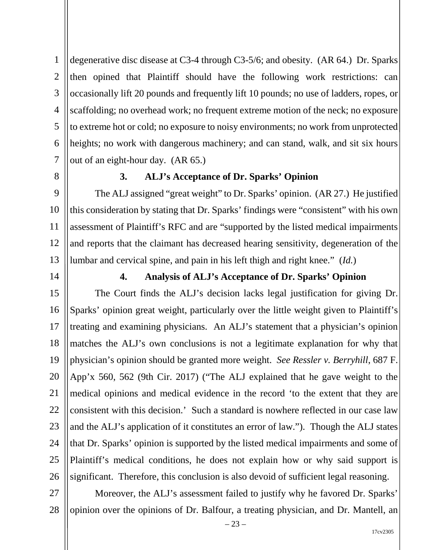1 2 3 4 5 6 7 degenerative disc disease at C3-4 through C3-5/6; and obesity. (AR 64.) Dr. Sparks then opined that Plaintiff should have the following work restrictions: can occasionally lift 20 pounds and frequently lift 10 pounds; no use of ladders, ropes, or scaffolding; no overhead work; no frequent extreme motion of the neck; no exposure to extreme hot or cold; no exposure to noisy environments; no work from unprotected heights; no work with dangerous machinery; and can stand, walk, and sit six hours out of an eight-hour day. (AR 65.)

8

### **3. ALJ's Acceptance of Dr. Sparks' Opinion**

9 10 11 12 13 The ALJ assigned "great weight" to Dr. Sparks' opinion. (AR 27.) He justified this consideration by stating that Dr. Sparks' findings were "consistent" with his own assessment of Plaintiff's RFC and are "supported by the listed medical impairments and reports that the claimant has decreased hearing sensitivity, degeneration of the lumbar and cervical spine, and pain in his left thigh and right knee." (*Id.*)

14

## **4. Analysis of ALJ's Acceptance of Dr. Sparks' Opinion**

15 16 17 18 19 20 21 22 23 24 25 26 The Court finds the ALJ's decision lacks legal justification for giving Dr. Sparks' opinion great weight, particularly over the little weight given to Plaintiff's treating and examining physicians. An ALJ's statement that a physician's opinion matches the ALJ's own conclusions is not a legitimate explanation for why that physician's opinion should be granted more weight. *See Ressler v. Berryhill*, 687 F. App'x 560, 562 (9th Cir. 2017) ("The ALJ explained that he gave weight to the medical opinions and medical evidence in the record 'to the extent that they are consistent with this decision.' Such a standard is nowhere reflected in our case law and the ALJ's application of it constitutes an error of law."). Though the ALJ states that Dr. Sparks' opinion is supported by the listed medical impairments and some of Plaintiff's medical conditions, he does not explain how or why said support is significant. Therefore, this conclusion is also devoid of sufficient legal reasoning.

27 28 Moreover, the ALJ's assessment failed to justify why he favored Dr. Sparks' opinion over the opinions of Dr. Balfour, a treating physician, and Dr. Mantell, an

– 23 –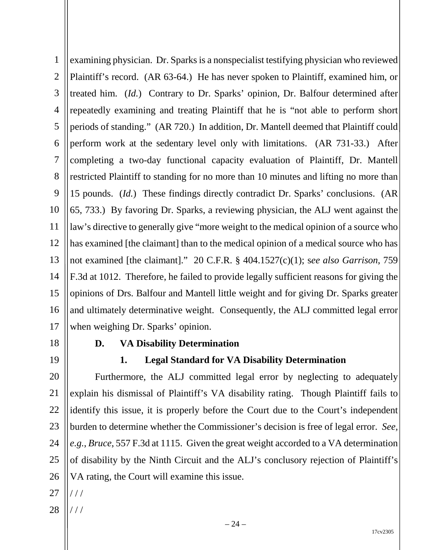1 2 3 4 5 6 7 8 9 10 11 12 13 14 15 16 17 examining physician. Dr. Sparks is a nonspecialist testifying physician who reviewed Plaintiff's record. (AR 63-64.) He has never spoken to Plaintiff, examined him, or treated him. (*Id.*) Contrary to Dr. Sparks' opinion, Dr. Balfour determined after repeatedly examining and treating Plaintiff that he is "not able to perform short periods of standing." (AR 720.) In addition, Dr. Mantell deemed that Plaintiff could perform work at the sedentary level only with limitations. (AR 731-33.) After completing a two-day functional capacity evaluation of Plaintiff, Dr. Mantell restricted Plaintiff to standing for no more than 10 minutes and lifting no more than 15 pounds. (*Id.*) These findings directly contradict Dr. Sparks' conclusions. (AR 65, 733.) By favoring Dr. Sparks, a reviewing physician, the ALJ went against the law's directive to generally give "more weight to the medical opinion of a source who has examined [the claimant] than to the medical opinion of a medical source who has not examined [the claimant]." 20 C.F.R. § 404.1527(c)(1); s*ee also Garrison*, 759 F.3d at 1012. Therefore, he failed to provide legally sufficient reasons for giving the opinions of Drs. Balfour and Mantell little weight and for giving Dr. Sparks greater and ultimately determinative weight. Consequently, the ALJ committed legal error when weighing Dr. Sparks' opinion.

18

### **D. VA Disability Determination**

19

# **1. Legal Standard for VA Disability Determination**

20 21 22 23 24 25 26 Furthermore, the ALJ committed legal error by neglecting to adequately explain his dismissal of Plaintiff's VA disability rating. Though Plaintiff fails to identify this issue, it is properly before the Court due to the Court's independent burden to determine whether the Commissioner's decision is free of legal error. *See, e.g.*, *Bruce*, 557 F.3d at 1115. Given the great weight accorded to a VA determination of disability by the Ninth Circuit and the ALJ's conclusory rejection of Plaintiff's VA rating, the Court will examine this issue.

27 / / /

28 / / /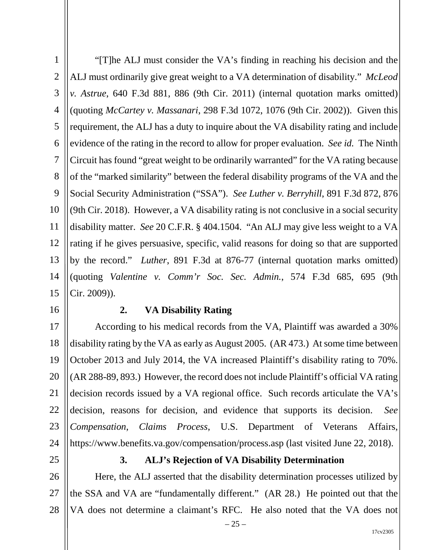1 2 3 4 5 6 7 8 9 10 11 12 13 14 15 "[T]he ALJ must consider the VA's finding in reaching his decision and the ALJ must ordinarily give great weight to a VA determination of disability." *McLeod v. Astrue*, 640 F.3d 881, 886 (9th Cir. 2011) (internal quotation marks omitted) (quoting *McCartey v. Massanari*, 298 F.3d 1072, 1076 (9th Cir. 2002)). Given this requirement, the ALJ has a duty to inquire about the VA disability rating and include evidence of the rating in the record to allow for proper evaluation. *See id.* The Ninth Circuit has found "great weight to be ordinarily warranted" for the VA rating because of the "marked similarity" between the federal disability programs of the VA and the Social Security Administration ("SSA"). *See Luther v. Berryhill*, 891 F.3d 872, 876 (9th Cir. 2018). However, a VA disability rating is not conclusive in a social security disability matter. *See* 20 C.F.R. § 404.1504. "An ALJ may give less weight to a VA rating if he gives persuasive, specific, valid reasons for doing so that are supported by the record." *Luther*, 891 F.3d at 876-77 (internal quotation marks omitted) (quoting *Valentine v. Comm'r Soc. Sec. Admin.*, 574 F.3d 685, 695 (9th Cir. 2009)).

16

#### **2. VA Disability Rating**

17 18 19 20 21 22 23 24 According to his medical records from the VA, Plaintiff was awarded a 30% disability rating by the VA as early as August 2005. (AR 473.) At some time between October 2013 and July 2014, the VA increased Plaintiff's disability rating to 70%. (AR 288-89, 893.) However, the record does not include Plaintiff's official VA rating decision records issued by a VA regional office. Such records articulate the VA's decision, reasons for decision, and evidence that supports its decision. *See Compensation*, *Claims Process*, U.S. Department of Veterans Affairs, https://www.benefits.va.gov/compensation/process.asp (last visited June 22, 2018).

25

#### **3. ALJ's Rejection of VA Disability Determination**

26 27 28 Here, the ALJ asserted that the disability determination processes utilized by the SSA and VA are "fundamentally different." (AR 28.) He pointed out that the VA does not determine a claimant's RFC. He also noted that the VA does not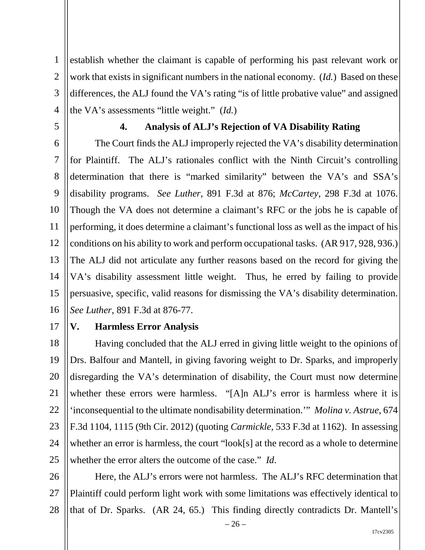1 2 3 4 establish whether the claimant is capable of performing his past relevant work or work that exists in significant numbers in the national economy. (*Id.*) Based on these differences, the ALJ found the VA's rating "is of little probative value" and assigned the VA's assessments "little weight." (*Id.*)

5

# **4. Analysis of ALJ's Rejection of VA Disability Rating**

6 7 8 9 10 11 12 13 14 15 16 The Court finds the ALJ improperly rejected the VA's disability determination for Plaintiff. The ALJ's rationales conflict with the Ninth Circuit's controlling determination that there is "marked similarity" between the VA's and SSA's disability programs. *See Luther*, 891 F.3d at 876; *McCartey*, 298 F.3d at 1076. Though the VA does not determine a claimant's RFC or the jobs he is capable of performing, it does determine a claimant's functional loss as well as the impact of his conditions on his ability to work and perform occupational tasks. (AR 917, 928, 936.) The ALJ did not articulate any further reasons based on the record for giving the VA's disability assessment little weight. Thus, he erred by failing to provide persuasive, specific, valid reasons for dismissing the VA's disability determination. *See Luther*, 891 F.3d at 876-77.

17

#### **V. Harmless Error Analysis**

18 19 20 21 22 23 24 25 Having concluded that the ALJ erred in giving little weight to the opinions of Drs. Balfour and Mantell, in giving favoring weight to Dr. Sparks, and improperly disregarding the VA's determination of disability, the Court must now determine whether these errors were harmless. "[A]n ALJ's error is harmless where it is 'inconsequential to the ultimate nondisability determination.'" *Molina v. Astrue*, 674 F.3d 1104, 1115 (9th Cir. 2012) (quoting *Carmickle*, 533 F.3d at 1162). In assessing whether an error is harmless, the court "look[s] at the record as a whole to determine whether the error alters the outcome of the case." *Id*.

26 27 28 Here, the ALJ's errors were not harmless. The ALJ's RFC determination that Plaintiff could perform light work with some limitations was effectively identical to that of Dr. Sparks. (AR 24, 65.) This finding directly contradicts Dr. Mantell's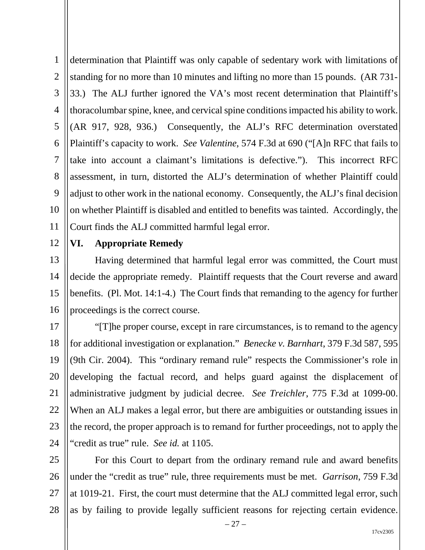1 2 3 4 5 6 7 8 9 10 11 determination that Plaintiff was only capable of sedentary work with limitations of standing for no more than 10 minutes and lifting no more than 15 pounds. (AR 731- 33.) The ALJ further ignored the VA's most recent determination that Plaintiff's thoracolumbar spine, knee, and cervical spine conditions impacted his ability to work. (AR 917, 928, 936.) Consequently, the ALJ's RFC determination overstated Plaintiff's capacity to work. *See Valentine*, 574 F.3d at 690 ("[A]n RFC that fails to take into account a claimant's limitations is defective."). This incorrect RFC assessment, in turn, distorted the ALJ's determination of whether Plaintiff could adjust to other work in the national economy. Consequently, the ALJ's final decision on whether Plaintiff is disabled and entitled to benefits was tainted. Accordingly, the Court finds the ALJ committed harmful legal error.

12 13

### **VI. Appropriate Remedy**

14 15 16 Having determined that harmful legal error was committed, the Court must decide the appropriate remedy. Plaintiff requests that the Court reverse and award benefits. (Pl. Mot. 14:1-4.) The Court finds that remanding to the agency for further proceedings is the correct course.

17 18 19 20 21 22 23 24 "[T]he proper course, except in rare circumstances, is to remand to the agency for additional investigation or explanation." *Benecke v. Barnhart*, 379 F.3d 587, 595 (9th Cir. 2004). This "ordinary remand rule" respects the Commissioner's role in developing the factual record, and helps guard against the displacement of administrative judgment by judicial decree. *See Treichler*, 775 F.3d at 1099-00. When an ALJ makes a legal error, but there are ambiguities or outstanding issues in the record, the proper approach is to remand for further proceedings, not to apply the "credit as true" rule. *See id.* at 1105.

25 26 27 28 For this Court to depart from the ordinary remand rule and award benefits under the "credit as true" rule, three requirements must be met. *Garrison*, 759 F.3d at 1019-21. First, the court must determine that the ALJ committed legal error, such as by failing to provide legally sufficient reasons for rejecting certain evidence.

– 27 –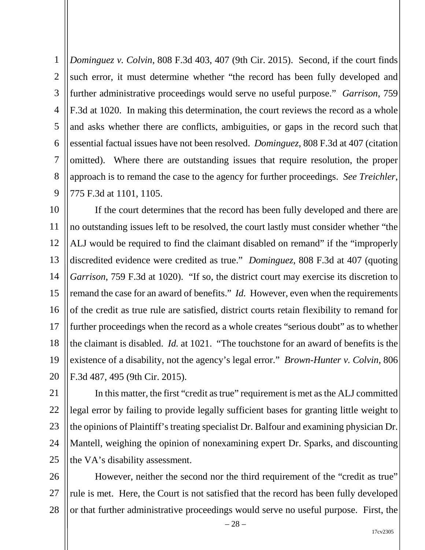1 2 3 4 5 6 7 8 9 *Dominguez v. Colvin*, 808 F.3d 403, 407 (9th Cir. 2015). Second, if the court finds such error, it must determine whether "the record has been fully developed and further administrative proceedings would serve no useful purpose." *Garrison*, 759 F.3d at 1020. In making this determination, the court reviews the record as a whole and asks whether there are conflicts, ambiguities, or gaps in the record such that essential factual issues have not been resolved. *Dominguez*, 808 F.3d at 407 (citation omitted). Where there are outstanding issues that require resolution, the proper approach is to remand the case to the agency for further proceedings. *See Treichler*, 775 F.3d at 1101, 1105.

10 11 12 13 14 15 16 17 18 19 20 If the court determines that the record has been fully developed and there are no outstanding issues left to be resolved, the court lastly must consider whether "the ALJ would be required to find the claimant disabled on remand" if the "improperly discredited evidence were credited as true." *Dominguez*, 808 F.3d at 407 (quoting *Garrison*, 759 F.3d at 1020). "If so, the district court may exercise its discretion to remand the case for an award of benefits." *Id.* However, even when the requirements of the credit as true rule are satisfied, district courts retain flexibility to remand for further proceedings when the record as a whole creates "serious doubt" as to whether the claimant is disabled. *Id.* at 1021. "The touchstone for an award of benefits is the existence of a disability, not the agency's legal error." *Brown-Hunter v. Colvin*, 806 F.3d 487, 495 (9th Cir. 2015).

21 22 23 24 25 In this matter, the first "credit as true" requirement is met as the ALJ committed legal error by failing to provide legally sufficient bases for granting little weight to the opinions of Plaintiff's treating specialist Dr. Balfour and examining physician Dr. Mantell, weighing the opinion of nonexamining expert Dr. Sparks, and discounting the VA's disability assessment.

26 27 28 However, neither the second nor the third requirement of the "credit as true" rule is met. Here, the Court is not satisfied that the record has been fully developed or that further administrative proceedings would serve no useful purpose. First, the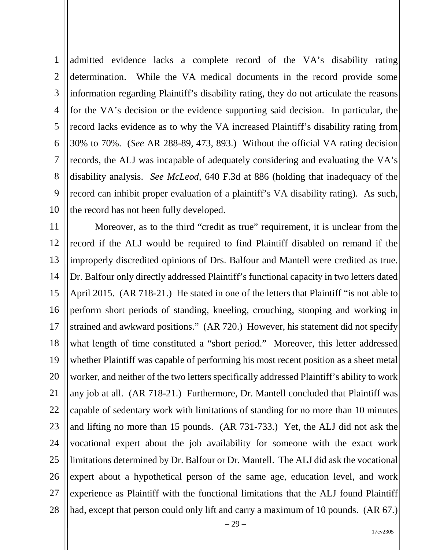1 2 3 4 5 6 7 8 9 10 admitted evidence lacks a complete record of the VA's disability rating determination. While the VA medical documents in the record provide some information regarding Plaintiff's disability rating, they do not articulate the reasons for the VA's decision or the evidence supporting said decision. In particular, the record lacks evidence as to why the VA increased Plaintiff's disability rating from 30% to 70%. (*See* AR 288-89, 473, 893.) Without the official VA rating decision records, the ALJ was incapable of adequately considering and evaluating the VA's disability analysis. *See McLeod*, 640 F.3d at 886 (holding that inadequacy of the record can inhibit proper evaluation of a plaintiff's VA disability rating). As such, the record has not been fully developed.

11 12 13 14 15 16 17 18 19 20 21 22 23 24 25 26 27 28 Moreover, as to the third "credit as true" requirement, it is unclear from the record if the ALJ would be required to find Plaintiff disabled on remand if the improperly discredited opinions of Drs. Balfour and Mantell were credited as true. Dr. Balfour only directly addressed Plaintiff's functional capacity in two letters dated April 2015. (AR 718-21.) He stated in one of the letters that Plaintiff "is not able to perform short periods of standing, kneeling, crouching, stooping and working in strained and awkward positions." (AR 720.) However, his statement did not specify what length of time constituted a "short period." Moreover, this letter addressed whether Plaintiff was capable of performing his most recent position as a sheet metal worker, and neither of the two letters specifically addressed Plaintiff's ability to work any job at all. (AR 718-21.) Furthermore, Dr. Mantell concluded that Plaintiff was capable of sedentary work with limitations of standing for no more than 10 minutes and lifting no more than 15 pounds. (AR 731-733.) Yet, the ALJ did not ask the vocational expert about the job availability for someone with the exact work limitations determined by Dr. Balfour or Dr. Mantell. The ALJ did ask the vocational expert about a hypothetical person of the same age, education level, and work experience as Plaintiff with the functional limitations that the ALJ found Plaintiff had, except that person could only lift and carry a maximum of 10 pounds. (AR 67.)

17cv2305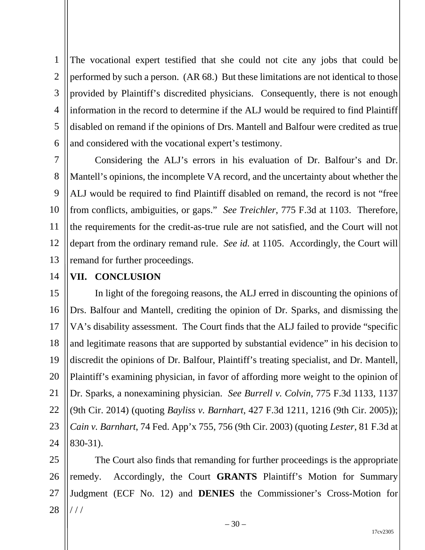1 2 3 4 5 6 The vocational expert testified that she could not cite any jobs that could be performed by such a person. (AR 68.) But these limitations are not identical to those provided by Plaintiff's discredited physicians. Consequently, there is not enough information in the record to determine if the ALJ would be required to find Plaintiff disabled on remand if the opinions of Drs. Mantell and Balfour were credited as true and considered with the vocational expert's testimony.

7 8 9 10 11 12 13 Considering the ALJ's errors in his evaluation of Dr. Balfour's and Dr. Mantell's opinions, the incomplete VA record, and the uncertainty about whether the ALJ would be required to find Plaintiff disabled on remand, the record is not "free from conflicts, ambiguities, or gaps." *See Treichler*, 775 F.3d at 1103. Therefore, the requirements for the credit-as-true rule are not satisfied, and the Court will not depart from the ordinary remand rule. *See id.* at 1105. Accordingly, the Court will remand for further proceedings.

14

## **VII. CONCLUSION**

15 16 17 18 19 20 21 22 23 24 In light of the foregoing reasons, the ALJ erred in discounting the opinions of Drs. Balfour and Mantell, crediting the opinion of Dr. Sparks, and dismissing the VA's disability assessment. The Court finds that the ALJ failed to provide "specific and legitimate reasons that are supported by substantial evidence" in his decision to discredit the opinions of Dr. Balfour, Plaintiff's treating specialist, and Dr. Mantell, Plaintiff's examining physician, in favor of affording more weight to the opinion of Dr. Sparks, a nonexamining physician. *See Burrell v. Colvin*, 775 F.3d 1133, 1137 (9th Cir. 2014) (quoting *Bayliss v. Barnhart*, 427 F.3d 1211, 1216 (9th Cir. 2005)); *Cain v. Barnhart*, 74 Fed. App'x 755, 756 (9th Cir. 2003) (quoting *Lester*, 81 F.3d at 830-31).

25 26 27 28 The Court also finds that remanding for further proceedings is the appropriate remedy. Accordingly, the Court **GRANTS** Plaintiff's Motion for Summary Judgment (ECF No. 12) and **DENIES** the Commissioner's Cross-Motion for / / /